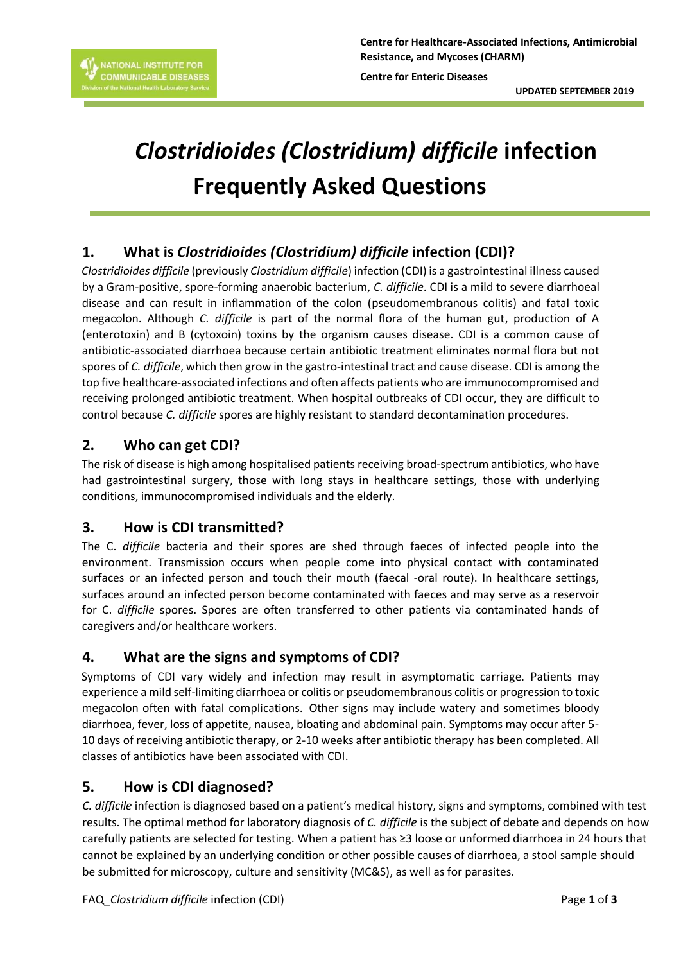

**Centre for Healthcare-Associated Infections, Antimicrobial Resistance, and Mycoses (CHARM)**

**Centre for Enteric Diseases**

**UPDATED SEPTEMBER 2019**

# *Clostridioides (Clostridium) difficile* **infection Frequently Asked Questions**

# **1. What is** *Clostridioides (Clostridium) difficile* **infection (CDI)?**

*Clostridioides difficile* (previously *Clostridium difficile*) infection (CDI) is a gastrointestinal illness caused by a Gram-positive, spore-forming anaerobic bacterium, *C. difficile*. CDI is a mild to severe diarrhoeal disease and can result in inflammation of the colon (pseudomembranous colitis) and fatal toxic megacolon. Although *C. difficile* is part of the normal flora of the human gut, production of A (enterotoxin) and B (cytoxoin) toxins by the organism causes disease. CDI is a common cause of antibiotic-associated diarrhoea because certain antibiotic treatment eliminates normal flora but not spores of *C. difficile*, which then grow in the gastro-intestinal tract and cause disease. CDI is among the top five healthcare-associated infections and often affects patients who are immunocompromised and receiving prolonged antibiotic treatment. When hospital outbreaks of CDI occur, they are difficult to control because *C. difficile* spores are highly resistant to standard decontamination procedures.

#### **2. Who can get CDI?**

The risk of disease is high among hospitalised patients receiving broad-spectrum antibiotics, who have had gastrointestinal surgery, those with long stays in healthcare settings, those with underlying conditions, immunocompromised individuals and the elderly.

## **3. How is CDI transmitted?**

The C. *difficile* bacteria and their spores are shed through faeces of infected people into the environment. Transmission occurs when people come into physical contact with contaminated surfaces or an infected person and touch their mouth (faecal -oral route). In healthcare settings, surfaces around an infected person become contaminated with faeces and may serve as a reservoir for C. *difficile* spores. Spores are often transferred to other patients via contaminated hands of caregivers and/or healthcare workers.

## **4. What are the signs and symptoms of CDI?**

Symptoms of CDI vary widely and infection may result in asymptomatic carriage. Patients may experience a mild self-limiting diarrhoea or colitis or pseudomembranous colitis or progression to toxic megacolon often with fatal complications. Other signs may include watery and sometimes bloody diarrhoea, fever, loss of appetite, nausea, bloating and abdominal pain. Symptoms may occur after 5- 10 days of receiving antibiotic therapy, or 2-10 weeks after antibiotic therapy has been completed. All classes of antibiotics have been associated with CDI.

#### **5. How is CDI diagnosed?**

*C. difficile* infection is diagnosed based on a patient's medical history, signs and symptoms, combined with test results. The optimal method for laboratory diagnosis of *C. difficile* is the subject of debate and depends on how carefully patients are selected for testing. When a patient has ≥3 loose or unformed diarrhoea in 24 hours that cannot be explained by an underlying condition or other possible causes of diarrhoea, a stool sample should be submitted for microscopy, culture and sensitivity (MC&S), as well as for parasites.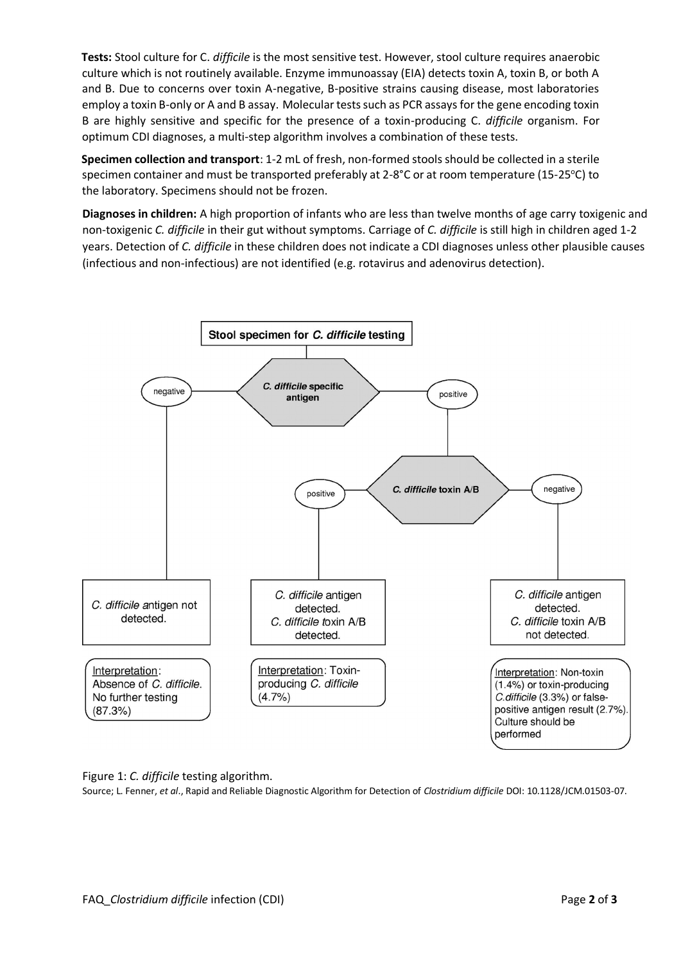**Tests:** Stool culture for C. *difficile* is the most sensitive test. However, stool culture requires anaerobic culture which is not routinely available. Enzyme immunoassay (EIA) detects toxin A, toxin B, or both A and B. Due to concerns over toxin A-negative, B-positive strains causing disease, most laboratories employ a toxin B-only or A and B assay. Molecular tests such as PCR assaysfor the gene encoding toxin B are highly sensitive and specific for the presence of a toxin-producing C. *difficile* organism. For optimum CDI diagnoses, a multi-step algorithm involves a combination of these tests.

**Specimen collection and transport**: 1-2 mL of fresh, non-formed stools should be collected in a sterile specimen container and must be transported preferably at 2-8°C or at room temperature (15-25°C) to the laboratory. Specimens should not be frozen.

**Diagnoses in children:** A high proportion of infants who are less than twelve months of age carry toxigenic and non-toxigenic *C. difficile* in their gut without symptoms. Carriage of *C. difficile* is still high in children aged 1-2 years. Detection of *C. difficile* in these children does not indicate a CDI diagnoses unless other plausible causes (infectious and non-infectious) are not identified (e.g. rotavirus and adenovirus detection).



Figure 1: *C. difficile* testing algorithm.

Source; L. Fenner, *et al*., Rapid and Reliable Diagnostic Algorithm for Detection of *Clostridium difficile* DOI: 10.1128/JCM.01503-07.